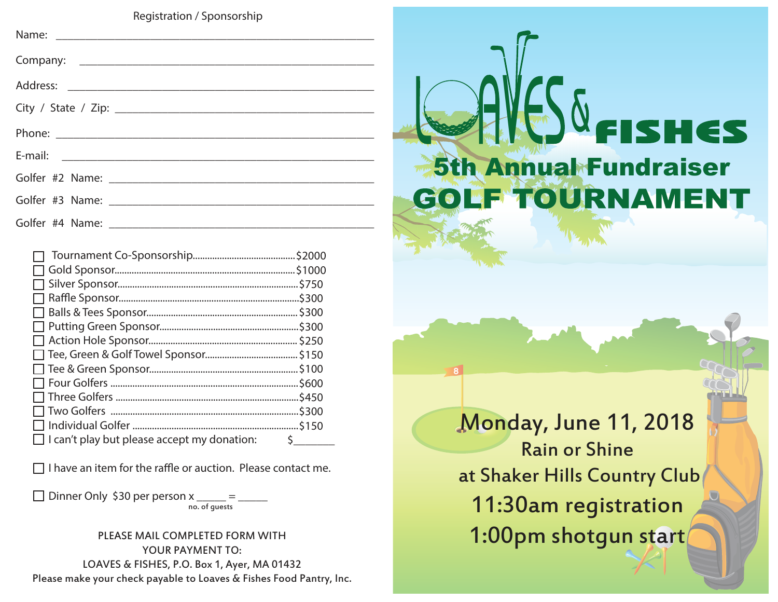**Registration / Sponsorship**

|                                                    | \$750. |
|----------------------------------------------------|--------|
|                                                    | .\$300 |
|                                                    |        |
|                                                    |        |
|                                                    |        |
|                                                    |        |
|                                                    |        |
|                                                    | 5600.  |
|                                                    | 5450.  |
|                                                    | 5300.  |
|                                                    | \$150  |
| $\Box$ I can't play but please accept my donation: |        |

o **I have an item for the raffle or auction. Please contact me.**

□ Dinner Only \$30 per person x no. of guests

YOUR PAYMENT TO: LOAVES & FISHES, P.O. Box 1, Ayer, MA 01432 Please make your check payable to Loaves & Fishes Food Pantry, Inc.

# VG. FISHES 5th Annual Fundraiser**GOLF TOURNAMENT**

Monday, June 11, 2018 Rain or Shine at Shaker Hills Country Club 11:30am registration PLEASE MAIL COMPLETED FORM WITH **1:00pm shotgun start**